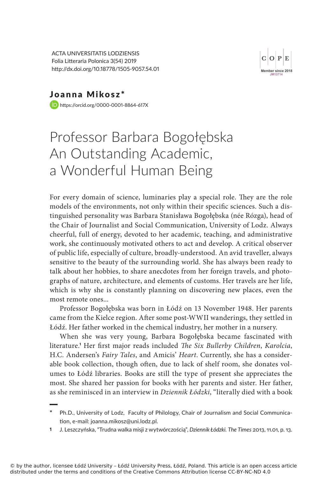ACTA UNIVERSITATIS LODZIENSIS Folia Litteraria Polonica 3(54) 2019 http://dx.doi.org/10.18778/1505-9057.54.01



Joanna Mikosz\* https://orcid.org/0000-0001-8864-617X

## Professor Barbara Bogołębska An Outstanding Academic, a Wonderful Human Being

For every domain of science, luminaries play a special role. They are the role models of the environments, not only within their specific sciences. Such a distinguished personality was Barbara Stanisława Bogołębska (née Rózga), head of the Chair of Journalist and Social Communication, University of Lodz. Always cheerful, full of energy, devoted to her academic, teaching, and administrative work, she continuously motivated others to act and develop. A critical observer of public life, especially of culture, broadly-understood. An avid traveller, always sensitive to the beauty of the surrounding world. She has always been ready to talk about her hobbies, to share anecdotes from her foreign travels, and photographs of nature, architecture, and elements of customs. Her travels are her life, which is why she is constantly planning on discovering new places, even the most remote ones...

Professor Bogołębska was born in Łódź on 13 November 1948. Her parents came from the Kielce region. After some post-WWII wanderings, they settled in Łódź. Her father worked in the chemical industry, her mother in a nursery.

When she was very young, Barbara Bogołębska became fascinated with literature.' Her first major reads included *The Six Bullerby Children, Karolcia,* H.C. Andersen's Fairy Tales, and Amicis' Heart. Currently, she has a considerable book collection, though often, due to lack of shelf room, she donates volumes to Łódź libraries. Books are still the type of present she appreciates the most. She shared her passion for books with her parents and sister. Her father, as she reminisced in an interview in Dziennik Łódzki, "literally died with a book

**<sup>\*</sup>** Ph.D., University of Lodz, Faculty of Philology, Chair of Journalism and Social Communication, e-mail: joanna.mikosz@uni.lodz.pl.

<sup>1</sup> J. Leszczyńska, "Trudna walka misji z wytwórczością", *Dziennik Łódzki. The Times* 2013, 11.01, p. 13.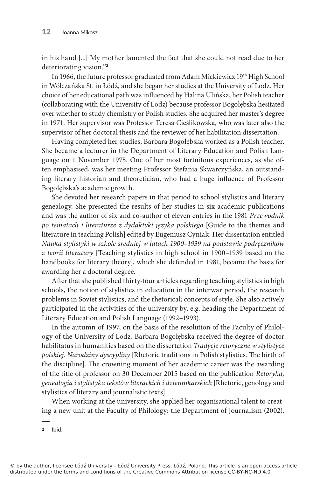in his hand [...] My mother lamented the fact that she could not read due to her deteriorating vision."<sup>2</sup>

In 1966, the future professor graduated from Adam Mickiewicz 19th High School in Wólczańska St. in Łódź, and she began her studies at the University of Lodz. Her choice of her educational path was influenced by Halina Ulińska, her Polish teacher (collaborating with the University of Lodz) because professor Bogołębska hesitated over whether to study chemistry or Polish studies. She acquired her master's degree in 1971. Her supervisor was Professor Teresa Cieślikowska, who was later also the supervisor of her doctoral thesis and the reviewer of her habilitation dissertation.

Having completed her studies, Barbara Bogołębska worked as a Polish teacher. She became a lecturer in the Department of Literary Education and Polish Language on 1 November 1975. One of her most fortuitous experiences, as she often emphasised, was her meeting Professor Stefania Skwarczyńska, an outstanding literary historian and theoretician, who had a huge influence of Professor Bogołębska's academic growth.

She devoted her research papers in that period to school stylistics and literary genealogy. She presented the results of her studies in six academic publications and was the author of six and co-author of eleven entries in the 1981 Przewodnik po tematach i literaturze z dydaktyki języka polskiego [Guide to the themes and literature in teaching Polish] edited by Eugeniusz Cyniak. Her dissertation entitled Nauka stylistyki w szkole średniej w latach 1900–1939 na podstawie podręczników z teorii literatury [Teaching stylistics in high school in 1900–1939 based on the handbooks for literary theory], which she defended in 1981, became the basis for awarding her a doctoral degree.

After that she published thirty-four articles regarding teaching stylistics in high schools, the notion of stylistics in education in the interwar period, the research problems in Soviet stylistics, and the rhetorical; concepts of style. She also actively participated in the activities of the university by, e.g. heading the Department of Literary Education and Polish Language (1992–1993).

In the autumn of 1997, on the basis of the resolution of the Faculty of Philology of the University of Lodz, Barbara Bogołębska received the degree of doctor habilitatus in humanities based on the dissertation Tradycje retoryczne w stylistyce polskiej. Narodziny dyscypliny [Rhetoric traditions in Polish stylistics. The birth of the discipline]. The crowning moment of her academic career was the awarding of the title of professor on 30 December 2015 based on the publication Retoryka, genealogia i stylistyka tekstów literackich i dziennikarskich [Rhetoric, genology and stylistics of literary and journalistic texts].

When working at the university, she applied her organisational talent to creating a new unit at the Faculty of Philology: the Department of Journalism (2002),

2 Ibid.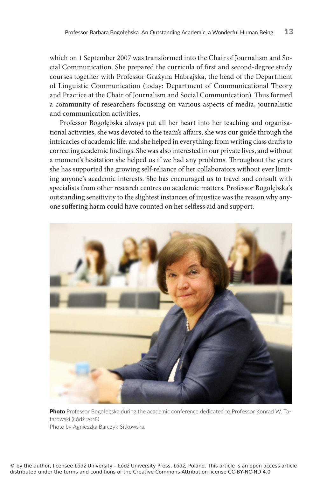which on 1 September 2007 was transformed into the Chair of Journalism and Social Communication. She prepared the curricula of first and second-degree study courses together with Professor Grażyna Habrajska, the head of the Department of Linguistic Communication (today: Department of Communicational Theory and Practice at the Chair of Journalism and Social Communication). Thus formed a community of researchers focussing on various aspects of media, journalistic and communication activities.

Professor Bogołębska always put all her heart into her teaching and organisational activities, she was devoted to the team's affairs, she was our guide through the intricacies of academic life, and she helped in everything: from writing class drafts to correcting academic findings. She was also interested in our private lives, and without a moment's hesitation she helped us if we had any problems. Throughout the years she has supported the growing self-reliance of her collaborators without ever limiting anyone's academic interests. She has encouraged us to travel and consult with specialists from other research centres on academic matters. Professor Bogołębska's outstanding sensitivity to the slightest instances of injustice was the reason why anyone suffering harm could have counted on her selfless aid and support.



**Photo** Professor Bogołębska during the academic conference dedicated to Professor Konrad W. Tatarowski (Łódź 2018) Photo by Agnieszka Barczyk-Sitkowska.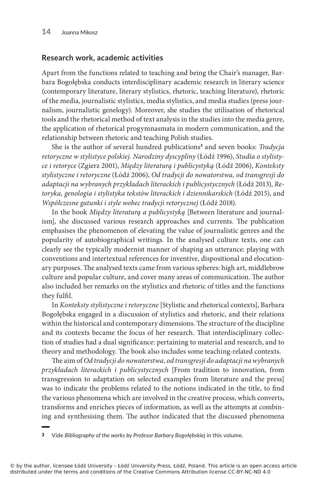## **Research work, academic activities**

Apart from the functions related to teaching and being the Chair's manager, Barbara Bogołębska conducts interdisciplinary academic research in literary science (contemporary literature, literary stylistics, rhetoric, teaching literature), rhetoric of the media, journalistic stylistics, media stylistics, and media studies (press journalism, journalistic genelogy). Moreover, she studies the utilisation of rhetorical tools and the rhetorical method of text analysis in the studies into the media genre, the application of rhetorical progymnasmata in modern communication, and the relationship between rhetoric and teaching Polish studies.

She is the author of several hundred publications<sup>3</sup> and seven books: *Tradycja* retoryczne w stylistyce polskiej. Narodziny dyscypliny (Łódź 1996), Studia o stylistyce i retoryce (Zgierz 2001), Między literaturą i publicystyką (Łódź 2006), Konteksty stylistyczne i retoryczne (Łódź 2006), Od tradycji do nowatorstwa, od transgresji do adaptacji na wybranych przykładach literackich i publicystycznych (Łódź 2013), Retoryka, genologia i stylistyka tekstów literackich i dziennikarskich (Łódź 2015), and Współczesne gatunki i style wobec tradycji retorycznej (Łódź 2018).

In the book Między literaturą a publicystyką [Between literature and journalism], she discussed various research approaches and currents. The publication emphasises the phenomenon of elevating the value of journalistic genres and the popularity of autobiographical writings. In the analysed culture texts, one can clearly see the typically modernist manner of shaping an utterance: playing with conventions and intertextual references for inventive, dispositional and elocutionary purposes. The analysed texts came from various spheres: high art, middlebrow culture and popular culture, and cover many areas of communication. The author also included her remarks on the stylistics and rhetoric of titles and the functions they fulfil.

In Konteksty stylistyczne i retoryczne [Stylistic and rhetorical contexts], Barbara Bogołębska engaged in a discussion of stylistics and rhetoric, and their relations within the historical and contemporary dimensions. The structure of the discipline and its contexts became the focus of her research. That interdisciplinary collection of studies had a dual significance: pertaining to material and research, and to theory and methodology. The book also includes some teaching-related contexts.

The aim of Od tradycji do nowatorstwa, od transgresji do adaptacji na wybranych przykładach literackich i publicystycznych [From tradition to innovation, from transgression to adaptation on selected examples from literature and the press] was to indicate the problems related to the notions indicated in the title, to find the various phenomena which are involved in the creative process, which converts, transforms and enriches pieces of information, as well as the attempts at combining and synthesising them. The author indicated that the discussed phenomena

3 Vide *Bibliography of the works by Profesor Barbary Bogołębskiej* in this volume.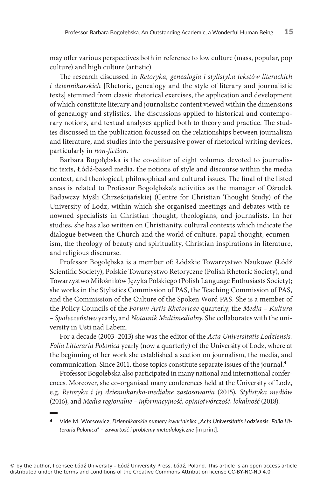may offer various perspectives both in reference to low culture (mass, popular, pop culture) and high culture (artistic).

The research discussed in Retoryka, genealogia i stylistyka tekstów literackich i dziennikarskich [Rhetoric, genealogy and the style of literary and journalistic texts] stemmed from classic rhetorical exercises, the application and development of which constitute literary and journalistic content viewed within the dimensions of genealogy and stylistics. The discussions applied to historical and contemporary notions, and textual analyses applied both to theory and practice. The studies discussed in the publication focussed on the relationships between journalism and literature, and studies into the persuasive power of rhetorical writing devices, particularly in non-fiction.

Barbara Bogołębska is the co-editor of eight volumes devoted to journalistic texts, Łódź-based media, the notions of style and discourse within the media context, and theological, philosophical and cultural issues. The final of the listed areas is related to Professor Bogołębska's activities as the manager of Ośrodek Badawczy Myśli Chrześcijańskiej (Centre for Christian Thought Study) of the University of Lodz, within which she organised meetings and debates with renowned specialists in Christian thought, theologians, and journalists. In her studies, she has also written on Christianity, cultural contexts which indicate the dialogue between the Church and the world of culture, papal thought, ecumenism, the theology of beauty and spirituality, Christian inspirations in literature, and religious discourse.

Professor Bogołębska is a member of: Łódzkie Towarzystwo Naukowe (Łódź Scientific Society), Polskie Towarzystwo Retoryczne (Polish Rhetoric Society), and Towarzystwo Miłośników Języka Polskiego (Polish Language Enthusiasts Society); she works in the Stylistics Commission of PAS, the Teaching Commission of PAS, and the Commission of the Culture of the Spoken Word PAS. She is a member of the Policy Councils of the Forum Artis Rhetoricae quarterly, the Media – Kultura – Społeczeństwo yearly, and Notatnik Multimedialny. She collaborates with the university in Usti nad Labem.

For a decade (2003–2013) she was the editor of the Acta Universitatis Lodziensis. Folia Litteraria Polonica yearly (now a quarterly) of the University of Lodz, where at the beginning of her work she established a section on journalism, the media, and communication. Since 2011, those topics constitute separate issues of the journal.<sup>4</sup>

Professor Bogołębska also participated in many national and international conferences. Moreover, she co-organised many conferences held at the University of Lodz, e.g. Retoryka i jej dziennikarsko-medialne zastosowania (2015), Stylistyka mediów (2016), and Media regionalne – informacyjność, opiniotwórczość, lokalność (2018).

<sup>4</sup> Vide M. Worsowicz, *Dziennikarskie numery kwartalnika "Acta Universitatis Lodziensis. Folia Litteraria Polonica" – zawartość i problemy metodologi�zne* [in print].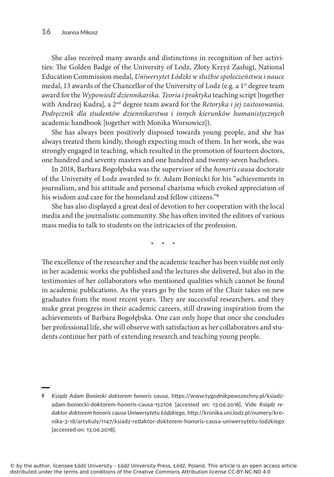She also received many awards and distinctions in recognition of her activities: The Golden Badge of the University of Lodz, Złoty Krzyż Zasługi, National Education Commission medal, Uniwersytet Łódzki w służbie społeczeństwu i nauce medal, 13 awards of the Chancellor of the University of Lodz (e.g. a 1<sup>st</sup> degree team award for the Wypowiedź dziennikarska. Teoria i praktyka teaching script [together with Andrzej Kudra], a 2<sup>nd</sup> degree team award for the Retoryka i jej zastosowania. Podręcznik dla studentów dziennikarstwa i innych kierunków humanistycznych academic handbook [together with Monika Worsowicz]).

She has always been positively disposed towards young people, and she has always treated them kindly, though expecting much of them. In her work, she was strongly engaged in teaching, which resulted in the promotion of fourteen doctors, one hundred and seventy masters and one hundred and twenty-seven bachelors.

In 2018, Barbara Bogołębska was the supervisor of the honoris causa doctorate of the University of Lodz awarded to fr. Adam Boniecki for his "achievements in journalism, and his attitude and personal charisma which evoked appreciation of his wisdom and care for the homeland and fellow citizens."<sup>5</sup>

She has also displayed a great deal of devotion to her cooperation with the local media and the journalistic community. She has often invited the editors of various mass media to talk to students on the intricacies of the profession.

\*\*\*

The excellence of the researcher and the academic teacher has been visible not only in her academic works she published and the lectures she delivered, but also in the testimonies of her collaborators who mentioned qualities which cannot be found in academic publications. As the years go by the team of the Chair takes on new graduates from the most recent years. They are successful researchers, and they make great progress in their academic careers, still drawing inspiration from the achievements of Barbara Bogołębska. One can only hope that once she concludes her professional life, she will observe with satisfaction as her collaborators and students continue her path of extending research and teaching young people.

<sup>5</sup> *Ksiądz �dam Bonie�ki doktorem honoris �ausa*, https://www.tygodnikpowszechny.pl/ksiadzadam-boniecki-doktorem-honoris-causa-152106 [accessed on: 13.06.2018]. Vide Ksiądz re*daktor doktorem honoris �ausa �niwersytetu Łódzkiego*, http://kronika.uni.lodz.pl/numery/kronika-3-18/artykuly/1147/ksiadz-redaktor-doktorem-honoris-causa-uniwersytetu-lodzkiego [accessed on: 13.06.2018].